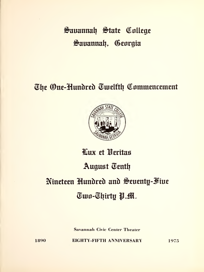# Sauannah State College Sauannah, Georgia

# The One-Hundred Twelfth Commencement



Lux et Peritas August Tenth Nineteen Hundred and Seventy-Five

Two-Thirty P.M.

**Savannah Civic Center Theater** 

1890

EIGHTY-FIFTH ANNIVERSARY

1975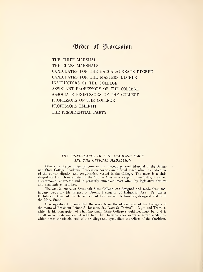# **Order of Procession**

THE CHIEF MARSHAL THE CLASS MARSHALS CANDIDATES FOR THE BACCALAUREATE DEGREE CANDIDATES FOR THE MASTERS DEGREE INSTRUCTORS OF THE COLLEGE ASSISTANT PROFESSORS OF THE COLLEGE ASSOCIATE PROFESSORS OF THE COLLEGE PROFESSORS OF THE COLLEGE PROFESSORS EMERITI THE PRESIDENTIAL PARTY

#### THE SIGNIFICANCE OF THE ACADEMIC MACE AND THE OFFICIAL MEDALLION

Observing the centuries.old convocation procedures, each Marshal in the Savannah State College Academic Procession carries an official mace which is indicative of the power, dignity, and magisterium vested in the College. The mace is a clubshaped staff which originated in the Middle Ages as a weapon. Eventually, it gained a ceremonial character and is presently employed most often by legislative forums and academic enterprises.

The official mace of Savannah State College was designed and made from mahogany wood by Mr. Ernest S. Brown, Instructor of Industrial Arts. Dr. Lester B. Johnson, Head of the Department of Engineering Technology, designed and built the Mace Stand.

It is significant to note that the mace bears the official seal of the College and the motto of President Prince A. Jackson, Jr., "Lux Et Veritas" ("Light and Truth"), which is his conception of what Savannah State College should be, must be, and is to all individuals associated with her. Dr. Jackson also wears a silver medallion which bears the official seal of the College and symbolizes the Office of the President.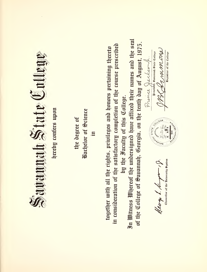

hereby confers upon

*Machelor of Science* the degree of

 $\mathbf{H}$ 

in consideration of the satisfactory completion of the course prescribed together with all the rights, privileges and honors pertaining thereto by the Faculty of this College.

In Witness Whereof the undersigned have affixed their names and the seal of the College of Suvannah, Georgia, on the tenth duy of August, 1975.

Blory 1. Keyro . J.



mommed President, Savannah State College Prince Jacksonh.

Registrar of the College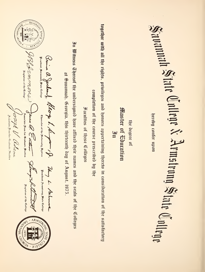Savantah State Culleye & Armahamy State Cul together with all the rights, privileges and honors appertatining thereto in consideration of the satisfactorg In Mitness Thereof the undersigned have affixed their names and the seals of the Colleges Prince A Jackbart, Deorge L. Le pront 18.<br>Freceivent Sourmany State College Chancelor of the Huiversite Sonton at Sauannah, Georgia, this thirteenth day of August, 1975. completion of the course prescribed by the Faculties of these Colleges Master of Cduration the degree of 11位 Stemme 22 Part They is Ashmore Persident gemstrong State College

 $\mathcal{U} \mathcal{H} \mathcal{B} \mathcal{L} \mathcal{S} \mathcal{M} \mathcal{M} \mathcal{M} \mathcal{L} \mathcal{M} \mathcal{L} \mathcal{M} \mathcal{L} \mathcal{M} \mathcal{L} \mathcal{L} \mathcal{L} \mathcal{L} \mathcal{L} \mathcal{L} \mathcal{L} \mathcal{L} \mathcal{L} \mathcal{L} \mathcal{L} \mathcal{L} \mathcal{L} \mathcal{L} \mathcal{L} \mathcal{L} \mathcal{L} \mathcal{L} \mathcal{L} \mathcal{L} \mathcal{L} \mathcal{L} \mathcal{$ 

Lossiph V adams Associate Denn for Graduate Studies



Registrae of the College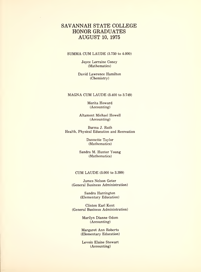## SAVANNAH STATE COLLEGE HONOR GRADUATES AUGUST 10, <sup>1975</sup>

SUMMA CUM LAUDE (3.750 to 4.000)

Joyce Lorraine Coney (Mathematics)

David Lawrence Hamilton (Chemistry)

#### MAGNA CUM LAUDE (3.400 to 3.749)

Merita Howard (Accounting)

Altamont Michael Howell (Accounting)

Burma J. Ruth Health, Physical Education and Recreation

> Dannette Taylor (Mathematics)

Sandra M. Hunter Young (Mathematics)

#### CUM LAUDE (3.000 to 3.399)

James Nelson Geter (General Business Administration)

> Sandra Harrington (Elementary Education)

Clinton Earl Kent (General Business Administration)

> Marilyn Dianne Odom (Accounting)

Margaret Ann Roberts (Elementary Education)

Levoin Elaine Stewart (Accounting)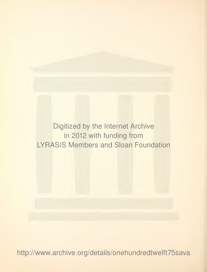Digitized by the Internet Archive in 2012 with funding from LYRASIS Members and Sloan Foundation

http://www.archive.org/details/onehundredtwelft75sava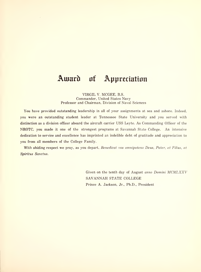# Award of Appreciation

VIRGIL V. MCGEE, B.S. Commander, United States Navy Professor and Chairman, Division of Naval Sciences

You have provided outstanding leadership in all of your assignments at sea and ashore. Indeed, you were an outstanding student leader at Tennessee State University and you served with distinction as <sup>a</sup> division officer aboard the aircraft carrier USS Leyte. As Commanding Officer of the NROTC, you made it one of the strongest programs at Savannah State College. An intensive dedication to service and excellence has imprinted an indelible debt of gratitude and appreciation to you from all members of the College Family.

With abiding respect we pray, as you depart, Benedicat vos omnipotens Deus, Pater, et Filius, et Spiritus Sanctus.

> Given on the tenth day of August anno Domini MCMLXXV SAVANNAH STATE COLLEGE Prince A. Jackson, Jr., Ph.D., President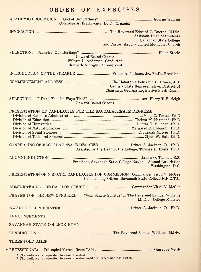# ORDER OF EXERCISES

| Coleridge A. Braithwaite, Ed.D., Organist                                                                                              |
|----------------------------------------------------------------------------------------------------------------------------------------|
| <b>Assistant Dean of Students</b><br>Savannah State College<br>and Pastor, Asbury United Methodist Church                              |
| <b>Upward Bound Chorus</b><br>William L. Anderson, Conductor<br>Elizabeth Albright, Accompanist                                        |
| INTRODUCTION OF THE SPEAKER  Prince A. Jackson, Jr., Ph.D., President                                                                  |
| Georgia State Representative, District 34<br>Chairman, Georgia Legislative Black Caucus                                                |
| <b>Upward Bound Chorus</b>                                                                                                             |
| PRESENTATION OF CANDIDATES FOR THE BACCALAUREATE DEGREES:                                                                              |
| Assisted by the Dean of the College, Thomas H. Byers, Ph.D.                                                                            |
| President, Savannah State College National Alumni Association<br>Washington, D.C.                                                      |
| PRESENTATION OF N.R.O.T.C. CANDIDATES FOR COMMISSIONCommander Virgil V. McGee<br>Commanding Officer, Savannah State College N.R.O.T.C. |
|                                                                                                                                        |
| "Veni Sancte Spiritus"  The Reverend Samuel Williams<br><b>PRAYER FOR THE NEW OFFICERS:</b><br>M. Div., College Minister               |
|                                                                                                                                        |
| ANNOUNCEMENTS                                                                                                                          |
| SAVANNAH STATE COLLEGE HYMN                                                                                                            |
|                                                                                                                                        |
| THREE-FOLD AMEN                                                                                                                        |
| * The audience is requested to remain seated.<br>and the state of the state of the state of                                            |

\*\* The audience is requested to remain seated until the procession has exited.

 $\ddot{\phantom{1}}$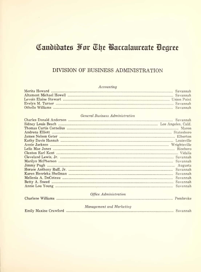# Candidates For The Baccalaureate Begree

# DIVISION OF BUSINESS ADMINISTRATION

## Accounting

#### General Business Administration

| <b>Office Administration</b> |                          |  |
|------------------------------|--------------------------|--|
|                              |                          |  |
|                              | Management and Marketing |  |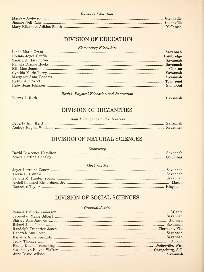| <b>Business Education</b> |  |
|---------------------------|--|
|                           |  |
|                           |  |
|                           |  |

# DIVISION OF EDUCATION

## Elementary Education

## Health, Physical Education and Recreation

|--|--|

# DIVISION OF HUMANITIES

| <b>English Language and Literature</b> |  |
|----------------------------------------|--|
|                                        |  |
|                                        |  |

# DIVISION OF NATURAL SCIENCES

## **Chemistry**

### Mathematics

# DIVISION OF SOCIAL SCIENCES

## Criminal Justice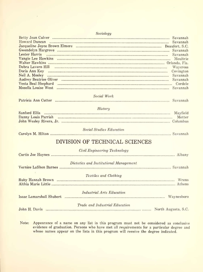## Sociology

|                                        | Waycross  |
|----------------------------------------|-----------|
|                                        | Covington |
|                                        |           |
|                                        |           |
|                                        |           |
|                                        |           |
| Social Work                            |           |
|                                        |           |
|                                        |           |
| <b>History</b>                         |           |
|                                        |           |
|                                        |           |
|                                        |           |
| <b>Social Studies Education</b>        |           |
|                                        |           |
| DIVISION OF TECHNICAL SCIENCES         |           |
| Civil Engineering Technology           |           |
|                                        |           |
|                                        |           |
| Dietetics and Institutional Management |           |
|                                        |           |
|                                        |           |
| Textiles and Clothing                  |           |
|                                        |           |
|                                        |           |
| Industrial Arts Education              |           |
|                                        |           |
|                                        |           |
| Trade and Industrial Education         |           |
|                                        |           |

Note: Appearance of a name on any list in this program must not be considered as conclusive evidence of graduation. Persons who have met all requirements for <sup>a</sup> particular degree and whose names appear on the lists in this program will receive the degree indicated.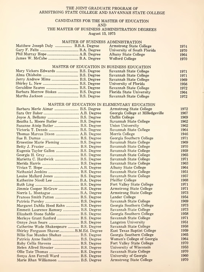## THE JOINT GRADUATE PROGRAM OF ARMSTRONG STATE COLLEGE AND SAVANNAH STATE COLLEGE

## CANDIDATES FOR THE MASTER OF EDUCATION

AND

## THE MASTER OF BUSINESS ADMINISTRATION DEGREES August 13, 1975

## MASTER OF BUSINESS ADMINISTRATION

| Matthew Joseph Daly  B.B.A. Degree | <b>Armstrong State College</b> | 1974 |
|------------------------------------|--------------------------------|------|
|                                    | University of South Florida    | 1970 |
| Phil Murray Hope  A.B. Degree      | <b>Albany State College</b>    | 1964 |
|                                    | <b>Wolford College</b>         | 1970 |

## MASTER OF EDUCATION IN BUSINESS EDUCATION

| Mary Vickers Edwards  B.S. Degree  | Savannah State College   | 1971 |
|------------------------------------|--------------------------|------|
|                                    | Savannah State College   | 1971 |
| Jerry Andrew Mims  B.S. Degree     | Savannah State College   | 1969 |
|                                    | University of Florida    | 1956 |
|                                    | Savannah State College   | 1972 |
| Barbara Morrow Stokes  B.S. Degree | Florida State University | 1964 |
|                                    | Savannah State College   | 1972 |

## MASTER OF EDUCATION IN ELEMENTARY EDUCATION

| <u>MANDIER OF EDOUATION IN ELEMENTAIVI EDUCATION</u> |                                  |      |
|------------------------------------------------------|----------------------------------|------|
| Barbara Merle Aimar  B.S. Degree                     | <b>Armstrong State College</b>   | 1972 |
|                                                      | Georgia College at Milledgeville | 1967 |
|                                                      | Claflin College                  | 1969 |
| Reatha L. Moore Butler  B.S. Degree                  | Savannah State College           | 1962 |
| Suzanne Atnip Butler  B.S. Degree                    | <b>Union University</b>          | 1962 |
| Victoria T. Dennis  B.S. Degree                      | Savannah State College           | 1964 |
| Thomas Marcus Dixon  A.B. Degree                     | Morris College                   | 1946 |
|                                                      | Georgia Southern College         | 1971 |
| Ernestine Marie Fleming  B.S. Degree                 | Savannah State College           | 1969 |
|                                                      | Savannah State College           | 1970 |
| Eugenia Taylor Gallon  B.S. Degree                   | Savannah State College           | 1959 |
|                                                      | Savannah State College           | 1965 |
| Marietta C. Hardwick  B.S. Degree                    | Savannah State College           | 1971 |
|                                                      | Savannah State College           | 1963 |
|                                                      | <b>Albany State College</b>      | 1964 |
|                                                      | Savannah State College           | 1951 |
| Louise Mallard Jones  B.S. Degree                    | Savannah State College           | 1957 |
|                                                      | <b>Pfeiffer College</b>          | 1968 |
|                                                      | <b>Fort Valley State College</b> | 1971 |
| Jimmie Cooper McGraw  B.S. Degree                    | <b>Armstrong State College</b>   | 1971 |
| Norris L. Montague  B.A. Degree                      | <b>Armstrong State College</b>   | 1973 |
| Frances Smith Patton  B.S. Degree                    | Lander College                   | 1954 |
|                                                      | Savannah State College           | 1969 |
| Margaret Dahlia Hood Rahn  B.S. Degree               | Georgia Southern College         | 1973 |
| Emmett Laurence Ramsey  B.S. Degree                  | Savannah State College           | 1973 |
| Elizabeth Stone Sahlie  B.S. Degree                  | Georgia Southern College         | 1958 |
| Merleye Grant Sanford  B.S. Degree                   | Savannah State College           | 1971 |
| Onnye Jean Sears  B.S. Degree                        | Langston University              | 1951 |
| Catherine Wade Shakespeare  B.S. Degree              | Savannah State College           | 1958 |
| Shirley Ferguson ShaverB.M.Ed. Degree                | East Texas Baptist College       | 1959 |
| Billie Sue Munden Shehan  B.S. Degree                | Georgia Southern College         | 1965 |
| Patricia Anne Smith  B.S. Degree                     | Women's College of Georgia       | 1964 |
| Ruby Cellia Stevens  B.S. Degree                     | <b>Fort Valley State College</b> | 1970 |
| Helen Allred Strozier  B.S. Degree                   | University of Wisconsin          | 1953 |
| Ollie Tate Thomas  B.S. Degree                       | Savannah State College           | 1970 |
| Sonya Ann Ferrell Ward  B.S. Degree                  | University of Georgia            | 1960 |
| Marie Rhan Williamson  B.S. Degree                   | <b>Armstrong State College</b>   | 1970 |
|                                                      |                                  |      |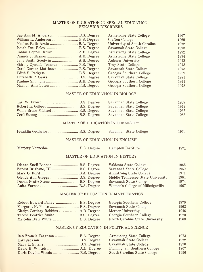## MASTER OF EDUCATION IN SPECIAL EDUCATION: BEHAVIOR DISORDERS

| Sue Ann M. Anderson  B.S. Degree     | <b>Armstrong State College</b> | 1967 |
|--------------------------------------|--------------------------------|------|
| William L. Anderson  B.S. Degree     | <b>Clafton College</b>         | 1969 |
| Melissa Ruth Arata  B.A. Degree      | University of South Carolina   | 1972 |
| Isaiah Ezel Boles  B.S. Degree       | Savannah State College         | 1973 |
| Connie Poppel Brown  A.B. Degree     | <b>Armstrong State College</b> | 1972 |
| Pamela J. Easson  A.B. Degree        | <b>Armstrong State College</b> | 1974 |
| Jane Smith Goodwin  A.B. Degree      | <b>Auburn University</b>       | 1972 |
| Shirley Cynthia Johnson  B.S. Degree | <b>Troy State College</b>      | 1973 |
| Carol Gordon Matthews  B.S. Degree   | Savannah State College         | 1973 |
| Edith S. Padgett  B.S. Degree        | Georgia Southern College       | 1969 |
| Elizabeth P. Sears  B.S. Degree      | Savannah State College         | 1971 |
| Pauline Simmons  A.B. Degree         | Georgia Southern College       | 1971 |
| Marilyn Ann Tuten  B.S. Degree       | Georgia Southern College       | 1973 |
|                                      |                                |      |

## MASTER OF EDUCATION IN BIOLOGY

|  | Savannah State College | 1967 |
|--|------------------------|------|
|  | Savannah State College | 1972 |
|  | Savannah State College | 1965 |
|  | Savannah State College | 1968 |

### MASTER OF EDUCATION IN CHEMISTRY

|  |  |  | Savannah State College | 1970 |
|--|--|--|------------------------|------|
|--|--|--|------------------------|------|

## MASTER OF EDUCATION IN ENGLISH

|  |  | Marjory Varnedoe  B.S. Degree | <b>Hampton Institute</b> | 1971 |
|--|--|-------------------------------|--------------------------|------|
|--|--|-------------------------------|--------------------------|------|

## MASTER OF EDUCATION IN HISTORY

| Dianne Snell Banner  B.S. Degree  | Valdosta State College                  | 1965 |
|-----------------------------------|-----------------------------------------|------|
| Ernest Brisbane, III  B.S. Degree | Savannah State College                  | 1969 |
|                                   | <b>Armstrong State College</b>          | 1971 |
| Glenda Ann Griggs  B.S. Degree    | Middle Tennessee State University       | 1964 |
|                                   | Savannah State College                  | 1974 |
|                                   | <b>Women's College of Milledgeville</b> | 1967 |

## MASTER OF EDUCATION IN MATHEMATICS

| Robert Edward Bailey  B.S. Degree   | Georgia Southern College        | 1970 |
|-------------------------------------|---------------------------------|------|
|                                     | Savannah State College          | 1962 |
| Gladys Cordray Robbins  A.B. Degree | Mercer University               | 1946 |
| Teresa Beatrice Smith  B.S. Degree  | Georgia Southern College        | 1970 |
|                                     | North Carolina State University | 1968 |

## MASTER OF EDUCATION IN POLITICAL SCIENCE

| Ben Francis Fargason  B.A. Degree | <b>Armstrong State College</b> | 1973 |
|-----------------------------------|--------------------------------|------|
|                                   | Savannah State College         | 1972 |
|                                   | <b>Savannah State College</b>  | 1970 |
|                                   | Birmingham Southern College    | 1967 |
| Doris Davida Woods  B.S. Degree   | South Carolina State College   | 1956 |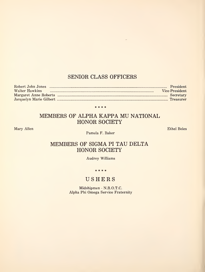# SENIOR CLASS OFFICERS

| <b>Walter Hawkins</b> | Vice-President |
|-----------------------|----------------|
|                       |                |
|                       |                |

#### \* \* \* \*

## MEMBERS OF ALPHA KAPPA MU NATIONAL HONOR SOCIETY

Pamela F. Baker

Mary Allen **Ethel Boles Ethel Boles Ethel Boles Ethel Boles Ethel Boles** 

## MEMBERS OF SIGMA PI TAU DELTA HONOR SOCIETY

Audrey Williams

\* \* \* \*

## USHERS

Midshipmen - N.R.O.T.C. Alpha Phi Omega Service Fraternity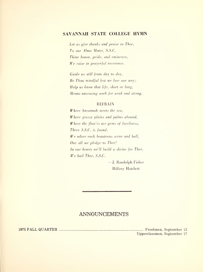## SAVANNAH STATE COLLEGE HYMN

Let us give thanks and praise to Thee, To our Alma Mater, S.S.C. Thine honor, pride, and eminence, We raise in prayerful reverence.

Guide us still from day to day, Be Thou mindful lest we lose our way; Help us know that life, short or long, Means unceasing work for weak and strong.

## REFRAIN

Where Savannah meets the sea, Where grassy plains and palms abound, Where the  $flow$ 'rs are gems of loveliness, There S.S.C. is found. We adore each beauteous scene and hall, Our all we pledge to Thee! In our hearts we'll build a shrine for Thee. We hail Thee, S.S.C.

> —J. Randolph Fisher Hillary Hatchett

## ANNOUNCEMENTS

l,

1975 FALL QUARTER FREED FOR THE RESERVIEW OF THE SEPTEMBER 15 Upperclassmen, September 17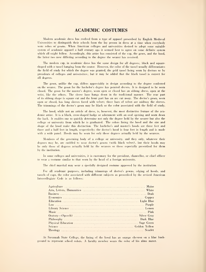## ACADEMIC COSTUMES

Modern academic dress has evolved from a type of apparel prescribed by English Medieval Universities to distinguish their schools from the lay person in dress at <sup>a</sup> time when everybody wore robes or' gowns. When American colleges and universities desired to adopt some suitable system of academic apparel a half century ago it seemed best to agree on some definite system which all might follow. Accordingly, this attire has consisted of the cap, the gown, and the hood, the latter two now differing according to the degree the wearer has received.

The modern cap, in academic dress has the same design for all degrees; black and square shaped with a tassel hanging from the center. However, the color of the tassel usually differentiates the field of study for which the degree was granted, the gold tassel being worn by doctors or by presidents of colleges and universities; but it may be added that the black tassel is correct for all degrees.

The gown, unlike the cap, differs appreciably in design according to the degree conferred on the wearer. The gown for the bachelor's degree has pointed sleeves. It is designed to be worn closed. The gown for the master's degree, worn open or closed has an oblong sleeve, open at the wrist, like the others. The sleeve base hangs down in the traditional manner. The rear part of its oblong shape is square cut and the front part has an arc cut away. The doctor's gown, worn open or closed, has long sleeves faced with velvet; three bars of velvet are midway the sleeves. The trimmings of the doctor's gown may be black or the color associated with the field of study.

The hood, while not an article of dress, is, however, the most distinctive feature of the aca demic attire. It is a black, crow-shaped badge or adornment with an oval opening and worn down the back. It enables one to quickly determine not only the degree held by the wearer but also the college or university from which he is graduated. The colors lining the hood and the size and shape of the hood make this distinction. The bachelor's and master's hoods are three feet and three and a half feet in length, respectively; the doctor's hood is four feet in length and is made with a wide panel. Hoods may be worn for only those degrees actually held by the wearers.

Members of the governing body of a college or university, and they only, whatever their degrees may be, are entitled to wear doctor's gowns (with black velvet), but their hoods may be only those of degrees actually held by the wearers or those especially prescribed for them by the institution.

In some colleges and universities, it is customary for the president, chancellor, or chief officer to wear a costume similar to that worn by the head of a foreign university.

The chief marshal may wear a specially designed costume approved by the institution.

For all academic purposes, including trimmings of doctor's gowns, edging of hoods, and tassels of caps, the color associated with different subjects as prescribed by the revised American Intercollegiate Code is as follows:

At Savannah State College, the lining of the hood has an orange chevron on a blue background to represent school colors. A faculty member wears the color of his alma mater.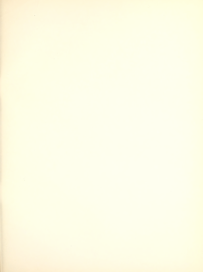